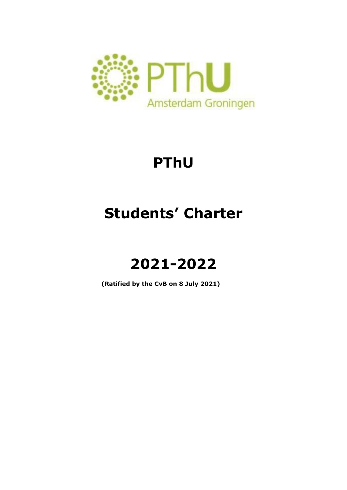

# **PThU**

# **Students' Charter**

# **2021-2022**

**(Ratified by the CvB on 8 July 2021)**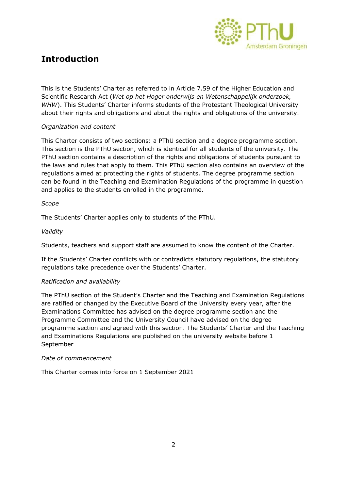

# **Introduction**

This is the Students' Charter as referred to in Article 7.59 of the Higher Education and Scientific Research Act (*Wet op het Hoger onderwijs en Wetenschappelijk onderzoek, WHW*). This Students' Charter informs students of the Protestant Theological University about their rights and obligations and about the rights and obligations of the university.

# *Organization and content*

This Charter consists of two sections: a PThU section and a degree programme section. This section is the PThU section, which is identical for all students of the university. The PThU section contains a description of the rights and obligations of students pursuant to the laws and rules that apply to them. This PThU section also contains an overview of the regulations aimed at protecting the rights of students. The degree programme section can be found in the Teaching and Examination Regulations of the programme in question and applies to the students enrolled in the programme.

# *Scope*

The Students' Charter applies only to students of the PThU.

# *Validity*

Students, teachers and support staff are assumed to know the content of the Charter.

If the Students' Charter conflicts with or contradicts statutory regulations, the statutory regulations take precedence over the Students' Charter.

# *Ratification and availability*

The PThU section of the Student's Charter and the Teaching and Examination Regulations are ratified or changed by the Executive Board of the University every year, after the Examinations Committee has advised on the degree programme section and the Programme Committee and the University Council have advised on the degree programme section and agreed with this section. The Students' Charter and the Teaching and Examinations Regulations are published on the university website before 1 September

#### *Date of commencement*

This Charter comes into force on 1 September 2021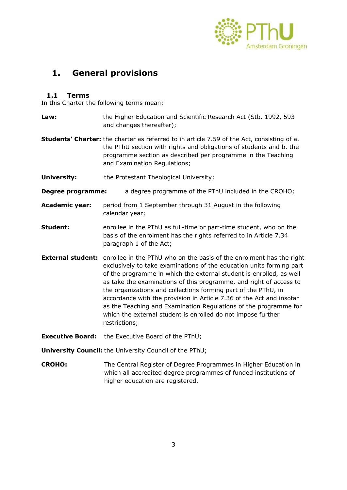

# **1. General provisions**

# **1.1 Terms**

In this Charter the following terms mean:

**Law:** the Higher Education and Scientific Research Act (Stb. 1992, 593 and changes thereafter); **Students' Charter:** the charter as referred to in article 7.59 of the Act, consisting of a. the PThU section with rights and obligations of students and b. the programme section as described per programme in the Teaching and Examination Regulations;

**University:** the Protestant Theological University;

- **Degree programme:** a degree programme of the PThU included in the CROHO;
- **Academic year:** period from 1 September through 31 August in the following calendar year;
- **Student:** enrollee in the PThU as full-time or part-time student, who on the basis of the enrolment has the rights referred to in Article 7.34 paragraph 1 of the Act;
- **External student:** enrollee in the PThU who on the basis of the enrolment has the right exclusively to take examinations of the education units forming part of the programme in which the external student is enrolled, as well as take the examinations of this programme, and right of access to the organizations and collections forming part of the PThU, in accordance with the provision in Article 7.36 of the Act and insofar as the Teaching and Examination Regulations of the programme for which the external student is enrolled do not impose further restrictions;
- **Executive Board:** the Executive Board of the PThU;

**University Council:** the University Council of the PThU;

**CROHO:** The Central Register of Degree Programmes in Higher Education in which all accredited degree programmes of funded institutions of higher education are registered.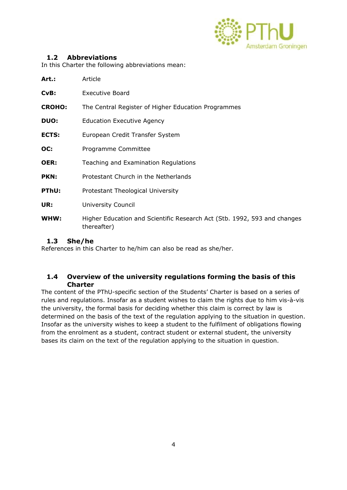

# **1.2 Abbreviations**

In this Charter the following abbreviations mean:

| Art.:         | Article                                                                                 |
|---------------|-----------------------------------------------------------------------------------------|
| CvB:          | <b>Executive Board</b>                                                                  |
| <b>CROHO:</b> | The Central Register of Higher Education Programmes                                     |
| <b>DUO:</b>   | <b>Education Executive Agency</b>                                                       |
| ECTS:         | European Credit Transfer System                                                         |
| OC:           | Programme Committee                                                                     |
| <b>OER:</b>   | Teaching and Examination Regulations                                                    |
| PKN:          | Protestant Church in the Netherlands                                                    |
| PThU:         | Protestant Theological University                                                       |
| UR:           | University Council                                                                      |
| WHW:          | Higher Education and Scientific Research Act (Stb. 1992, 593 and changes<br>thereafter) |

# **1.3 She/he**

References in this Charter to he/him can also be read as she/her.

# **1.4 Overview of the university regulations forming the basis of this Charter**

The content of the PThU-specific section of the Students' Charter is based on a series of rules and regulations. Insofar as a student wishes to claim the rights due to him vis-à-vis the university, the formal basis for deciding whether this claim is correct by law is determined on the basis of the text of the regulation applying to the situation in question. Insofar as the university wishes to keep a student to the fulfilment of obligations flowing from the enrolment as a student, contract student or external student, the university bases its claim on the text of the regulation applying to the situation in question.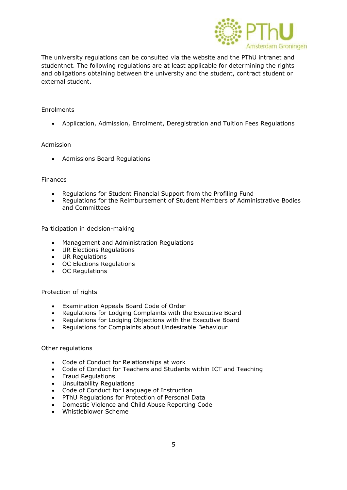

The university regulations can be consulted via the website and the PThU intranet and studentnet. The following regulations are at least applicable for determining the rights and obligations obtaining between the university and the student, contract student or external student.

#### Enrolments

Application, Admission, Enrolment, Deregistration and Tuition Fees Regulations

#### Admission

Admissions Board Regulations

#### Finances

- Regulations for Student Financial Support from the Profiling Fund
- Regulations for the Reimbursement of Student Members of Administrative Bodies and Committees

Participation in decision-making

- Management and Administration Regulations
- UR Elections Regulations
- UR Regulations
- OC Elections Regulations
- OC Regulations

#### Protection of rights

- Examination Appeals Board Code of Order
- Regulations for Lodging Complaints with the Executive Board
- Regulations for Lodging Objections with the Executive Board
- Regulations for Complaints about Undesirable Behaviour

#### Other regulations

- Code of Conduct for Relationships at work
- Code of Conduct for Teachers and Students within ICT and Teaching
- Fraud Regulations
- Unsuitability Regulations
- Code of Conduct for Language of Instruction
- PThU Regulations for Protection of Personal Data
- Domestic Violence and Child Abuse Reporting Code
- Whistleblower Scheme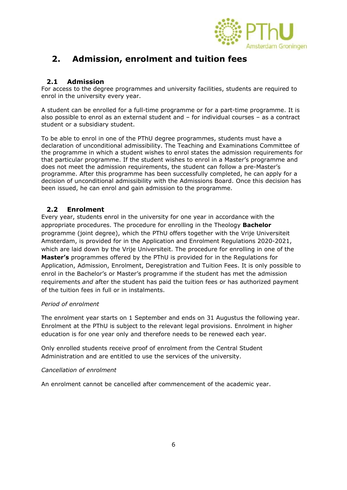

# **2. Admission, enrolment and tuition fees**

# **2.1 Admission**

For access to the degree programmes and university facilities, students are required to enrol in the university every year.

A student can be enrolled for a full-time programme or for a part-time programme. It is also possible to enrol as an external student and – for individual courses – as a contract student or a subsidiary student.

To be able to enrol in one of the PThU degree programmes, students must have a declaration of unconditional admissibility. The Teaching and Examinations Committee of the programme in which a student wishes to enrol states the admission requirements for that particular programme. If the student wishes to enrol in a Master's programme and does not meet the admission requirements, the student can follow a pre-Master's programme. After this programme has been successfully completed, he can apply for a decision of unconditional admissibility with the Admissions Board. Once this decision has been issued, he can enrol and gain admission to the programme.

# **2.2 Enrolment**

Every year, students enrol in the university for one year in accordance with the appropriate procedures. The procedure for enrolling in the Theology **Bachelor** programme (joint degree), which the PThU offers together with the Vrije Universiteit Amsterdam, is provided for in the Application and Enrolment Regulations 2020-2021, which are laid down by the Vrije Universiteit. The procedure for enrolling in one of the **Master's** programmes offered by the PThU is provided for in the Regulations for Application, Admission, Enrolment, Deregistration and Tuition Fees. It is only possible to enrol in the Bachelor's or Master's programme if the student has met the admission requirements *and* after the student has paid the tuition fees or has authorized payment of the tuition fees in full or in instalments.

# *Period of enrolment*

The enrolment year starts on 1 September and ends on 31 Augustus the following year. Enrolment at the PThU is subject to the relevant legal provisions. Enrolment in higher education is for one year only and therefore needs to be renewed each year.

Only enrolled students receive proof of enrolment from the Central Student Administration and are entitled to use the services of the university.

# *Cancellation of enrolment*

An enrolment cannot be cancelled after commencement of the academic year.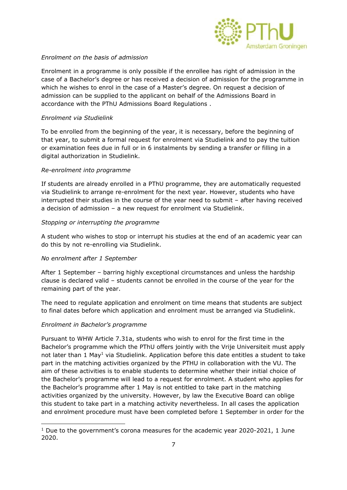

# *Enrolment on the basis of admission*

Enrolment in a programme is only possible if the enrollee has right of admission in the case of a Bachelor's degree or has received a decision of admission for the programme in which he wishes to enrol in the case of a Master's degree. On request a decision of admission can be supplied to the applicant on behalf of the Admissions Board in accordance with the PThU Admissions Board Regulations .

# *Enrolment via Studielink*

To be enrolled from the beginning of the year, it is necessary, before the beginning of that year, to submit a formal request for enrolment via Studielink and to pay the tuition or examination fees due in full or in 6 instalments by sending a transfer or filling in a digital authorization in Studielink.

#### *Re-enrolment into programme*

If students are already enrolled in a PThU programme, they are automatically requested via Studielink to arrange re-enrolment for the next year. However, students who have interrupted their studies in the course of the year need to submit – after having received a decision of admission – a new request for enrolment via Studielink.

#### *Stopping or interrupting the programme*

A student who wishes to stop or interrupt his studies at the end of an academic year can do this by not re-enrolling via Studielink.

# *No enrolment after 1 September*

After 1 September – barring highly exceptional circumstances and unless the hardship clause is declared valid – students cannot be enrolled in the course of the year for the remaining part of the year.

The need to regulate application and enrolment on time means that students are subject to final dates before which application and enrolment must be arranged via Studielink.

# *Enrolment in Bachelor's programme*

1

Pursuant to WHW Article 7.31a, students who wish to enrol for the first time in the Bachelor's programme which the PThU offers jointly with the Vrije Universiteit must apply not later than 1 May<sup>1</sup> via Studielink. Application before this date entitles a student to take part in the matching activities organized by the PTHU in collaboration with the VU. The aim of these activities is to enable students to determine whether their initial choice of the Bachelor's programme will lead to a request for enrolment. A student who applies for the Bachelor's programme after 1 May is not entitled to take part in the matching activities organized by the university. However, by law the Executive Board can oblige this student to take part in a matching activity nevertheless. In all cases the application and enrolment procedure must have been completed before 1 September in order for the

 $1$  Due to the government's corona measures for the academic year 2020-2021, 1 June 2020.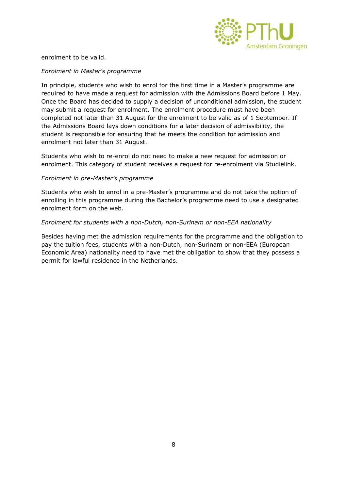

enrolment to be valid.

#### *Enrolment in Master's programme*

In principle, students who wish to enrol for the first time in a Master's programme are required to have made a request for admission with the Admissions Board before 1 May. Once the Board has decided to supply a decision of unconditional admission, the student may submit a request for enrolment. The enrolment procedure must have been completed not later than 31 August for the enrolment to be valid as of 1 September. If the Admissions Board lays down conditions for a later decision of admissibility, the student is responsible for ensuring that he meets the condition for admission and enrolment not later than 31 August.

Students who wish to re-enrol do not need to make a new request for admission or enrolment. This category of student receives a request for re-enrolment via Studielink.

#### *Enrolment in pre-Master's programme*

Students who wish to enrol in a pre-Master's programme and do not take the option of enrolling in this programme during the Bachelor's programme need to use a designated enrolment form on the web.

#### *Enrolment for students with a non-Dutch, non-Surinam or non-EEA nationality*

Besides having met the admission requirements for the programme and the obligation to pay the tuition fees, students with a non-Dutch, non-Surinam or non-EEA (European Economic Area) nationality need to have met the obligation to show that they possess a permit for lawful residence in the Netherlands.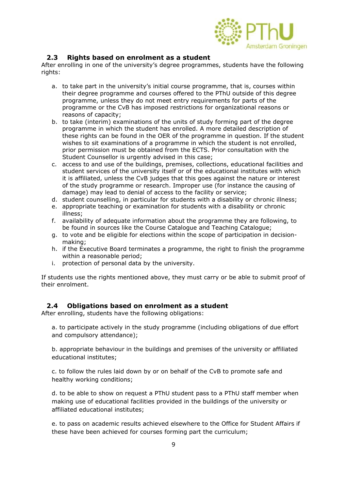

# **2.3 Rights based on enrolment as a student**

After enrolling in one of the university's degree programmes, students have the following rights:

- a. to take part in the university's initial course programme, that is, courses within their degree programme and courses offered to the PThU outside of this degree programme, unless they do not meet entry requirements for parts of the programme or the CvB has imposed restrictions for organizational reasons or reasons of capacity;
- b. to take (interim) examinations of the units of study forming part of the degree programme in which the student has enrolled. A more detailed description of these rights can be found in the OER of the programme in question. If the student wishes to sit examinations of a programme in which the student is not enrolled, prior permission must be obtained from the ECTS. Prior consultation with the Student Counsellor is urgently advised in this case;
- c. access to and use of the buildings, premises, collections, educational facilities and student services of the university itself or of the educational institutes with which it is affiliated, unless the CvB judges that this goes against the nature or interest of the study programme or research. Improper use (for instance the causing of damage) may lead to denial of access to the facility or service;
- d. student counselling, in particular for students with a disability or chronic illness;
- e. appropriate teaching or examination for students with a disability or chronic illness;
- f. availability of adequate information about the programme they are following, to be found in sources like the Course Catalogue and Teaching Catalogue;
- g. to vote and be eligible for elections within the scope of participation in decisionmaking;
- h. if the Executive Board terminates a programme, the right to finish the programme within a reasonable period;
- i. protection of personal data by the university.

If students use the rights mentioned above, they must carry or be able to submit proof of their enrolment.

# **2.4 Obligations based on enrolment as a student**

After enrolling, students have the following obligations:

a. to participate actively in the study programme (including obligations of due effort and compulsory attendance);

b. appropriate behaviour in the buildings and premises of the university or affiliated educational institutes;

c. to follow the rules laid down by or on behalf of the CvB to promote safe and healthy working conditions;

d. to be able to show on request a PThU student pass to a PThU staff member when making use of educational facilities provided in the buildings of the university or affiliated educational institutes;

e. to pass on academic results achieved elsewhere to the Office for Student Affairs if these have been achieved for courses forming part the curriculum;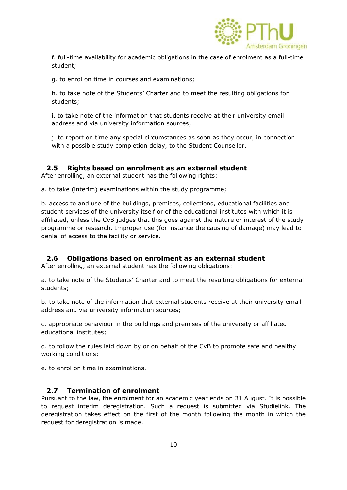

f. full-time availability for academic obligations in the case of enrolment as a full-time student;

g. to enrol on time in courses and examinations;

h. to take note of the Students' Charter and to meet the resulting obligations for students;

i. to take note of the information that students receive at their university email address and via university information sources;

j. to report on time any special circumstances as soon as they occur, in connection with a possible study completion delay, to the Student Counsellor.

# **2.5 Rights based on enrolment as an external student**

After enrolling, an external student has the following rights:

a. to take (interim) examinations within the study programme;

b. access to and use of the buildings, premises, collections, educational facilities and student services of the university itself or of the educational institutes with which it is affiliated, unless the CvB judges that this goes against the nature or interest of the study programme or research. Improper use (for instance the causing of damage) may lead to denial of access to the facility or service.

# **2.6 Obligations based on enrolment as an external student**

After enrolling, an external student has the following obligations:

a. to take note of the Students' Charter and to meet the resulting obligations for external students;

b. to take note of the information that external students receive at their university email address and via university information sources;

c. appropriate behaviour in the buildings and premises of the university or affiliated educational institutes;

d. to follow the rules laid down by or on behalf of the CvB to promote safe and healthy working conditions;

e. to enrol on time in examinations.

# **2.7 Termination of enrolment**

Pursuant to the law, the enrolment for an academic year ends on 31 August. It is possible to request interim deregistration. Such a request is submitted via Studielink. The deregistration takes effect on the first of the month following the month in which the request for deregistration is made.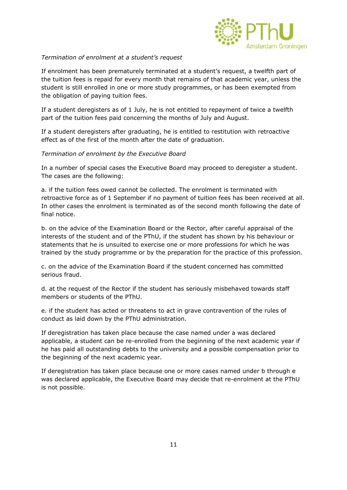

### *Termination of enrolment at a student's request*

If enrolment has been prematurely terminated at a student's request, a twelfth part of the tuition fees is repaid for every month that remains of that academic year, unless the student is still enrolled in one or more study programmes, or has been exempted from the obligation of paying tuition fees.

If a student deregisters as of 1 July, he is not entitled to repayment of twice a twelfth part of the tuition fees paid concerning the months of July and August.

If a student deregisters after graduating, he is entitled to restitution with retroactive effect as of the first of the month after the date of graduation.

#### *Termination of enrolment by the Executive Board*

In a number of special cases the Executive Board may proceed to deregister a student. The cases are the following:

a. if the tuition fees owed cannot be collected. The enrolment is terminated with retroactive force as of 1 September if no payment of tuition fees has been received at all. In other cases the enrolment is terminated as of the second month following the date of final notice.

b. on the advice of the Examination Board or the Rector, after careful appraisal of the interests of the student and of the PThU, if the student has shown by his behaviour or statements that he is unsuited to exercise one or more professions for which he was trained by the study programme or by the preparation for the practice of this profession.

c. on the advice of the Examination Board if the student concerned has committed serious fraud.

d. at the request of the Rector if the student has seriously misbehaved towards staff members or students of the PThU.

e. if the student has acted or threatens to act in grave contravention of the rules of conduct as laid down by the PThU administration.

If deregistration has taken place because the case named under a was declared applicable, a student can be re-enrolled from the beginning of the next academic year if he has paid all outstanding debts to the university and a possible compensation prior to the beginning of the next academic year.

If deregistration has taken place because one or more cases named under b through e was declared applicable, the Executive Board may decide that re-enrolment at the PThU is not possible.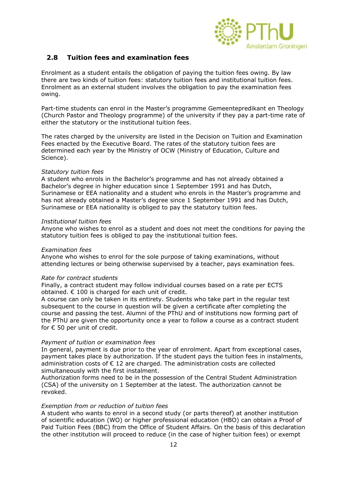

# **2.8 Tuition fees and examination fees**

Enrolment as a student entails the obligation of paying the tuition fees owing. By law there are two kinds of tuition fees: statutory tuition fees and institutional tuition fees. Enrolment as an external student involves the obligation to pay the examination fees owing.

Part-time students can enrol in the Master's programme Gemeentepredikant en Theology (Church Pastor and Theology programme) of the university if they pay a part-time rate of either the statutory or the institutional tuition fees.

The rates charged by the university are listed in the Decision on Tuition and Examination Fees enacted by the Executive Board. The rates of the statutory tuition fees are determined each year by the Ministry of OCW (Ministry of Education, Culture and Science).

#### *Statutory tuition fees*

A student who enrols in the Bachelor's programme and has not already obtained a Bachelor's degree in higher education since 1 September 1991 and has Dutch, Surinamese or EEA nationality and a student who enrols in the Master's programme and has not already obtained a Master's degree since 1 September 1991 and has Dutch, Surinamese or EEA nationality is obliged to pay the statutory tuition fees.

#### *Institutional tuition fees*

Anyone who wishes to enrol as a student and does not meet the conditions for paying the statutory tuition fees is obliged to pay the institutional tuition fees.

#### *Examination fees*

Anyone who wishes to enrol for the sole purpose of taking examinations, without attending lectures or being otherwise supervised by a teacher, pays examination fees.

#### *Rate for contract students*

Finally, a contract student may follow individual courses based on a rate per ECTS obtained.  $\epsilon$  100 is charged for each unit of credit.

A course can only be taken in its entirety. Students who take part in the regular test subsequent to the course in question will be given a certificate after completing the course and passing the test. Alumni of the PThU and of institutions now forming part of the PThU are given the opportunity once a year to follow a course as a contract student for € 50 per unit of credit.

#### *Payment of tuition or examination fees*

In general, payment is due prior to the year of enrolment. Apart from exceptional cases, payment takes place by authorization. If the student pays the tuition fees in instalments, administration costs of  $\epsilon$  12 are charged. The administration costs are collected simultaneously with the first instalment.

Authorization forms need to be in the possession of the Central Student Administration (CSA) of the university on 1 September at the latest. The authorization cannot be revoked.

#### *Exemption from or reduction of tuition fees*

A student who wants to enrol in a second study (or parts thereof) at another institution of scientific education (WO) or higher professional education (HBO) can obtain a Proof of Paid Tuition Fees (BBC) from the Office of Student Affairs. On the basis of this declaration the other institution will proceed to reduce (in the case of higher tuition fees) or exempt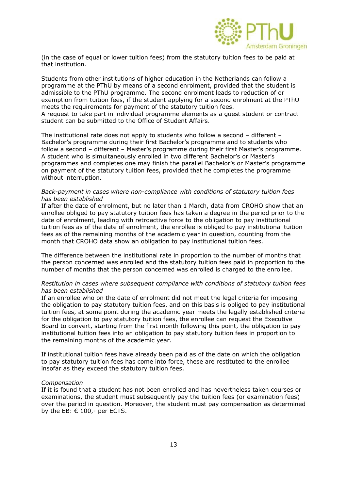

(in the case of equal or lower tuition fees) from the statutory tuition fees to be paid at that institution.

Students from other institutions of higher education in the Netherlands can follow a programme at the PThU by means of a second enrolment, provided that the student is admissible to the PThU programme. The second enrolment leads to reduction of or exemption from tuition fees, if the student applying for a second enrolment at the PThU meets the requirements for payment of the statutory tuition fees. A request to take part in individual programme elements as a guest student or contract student can be submitted to the Office of Student Affairs.

The institutional rate does not apply to students who follow a second – different – Bachelor's programme during their first Bachelor's programme and to students who follow a second – different – Master's programme during their first Master's programme. A student who is simultaneously enrolled in two different Bachelor's or Master's programmes and completes one may finish the parallel Bachelor's or Master's programme on payment of the statutory tuition fees, provided that he completes the programme without interruption.

#### *Back-payment in cases where non-compliance with conditions of statutory tuition fees has been established*

If after the date of enrolment, but no later than 1 March, data from CROHO show that an enrollee obliged to pay statutory tuition fees has taken a degree in the period prior to the date of enrolment, leading with retroactive force to the obligation to pay institutional tuition fees as of the date of enrolment, the enrollee is obliged to pay institutional tuition fees as of the remaining months of the academic year in question, counting from the month that CROHO data show an obligation to pay institutional tuition fees.

The difference between the institutional rate in proportion to the number of months that the person concerned was enrolled and the statutory tuition fees paid in proportion to the number of months that the person concerned was enrolled is charged to the enrollee.

#### *Restitution in cases where subsequent compliance with conditions of statutory tuition fees has been established*

If an enrollee who on the date of enrolment did not meet the legal criteria for imposing the obligation to pay statutory tuition fees, and on this basis is obliged to pay institutional tuition fees, at some point during the academic year meets the legally established criteria for the obligation to pay statutory tuition fees, the enrollee can request the Executive Board to convert, starting from the first month following this point, the obligation to pay institutional tuition fees into an obligation to pay statutory tuition fees in proportion to the remaining months of the academic year.

If institutional tuition fees have already been paid as of the date on which the obligation to pay statutory tuition fees has come into force, these are restituted to the enrollee insofar as they exceed the statutory tuition fees.

#### *Compensation*

If it is found that a student has not been enrolled and has nevertheless taken courses or examinations, the student must subsequently pay the tuition fees (or examination fees) over the period in question. Moreover, the student must pay compensation as determined by the EB: € 100,- per ECTS.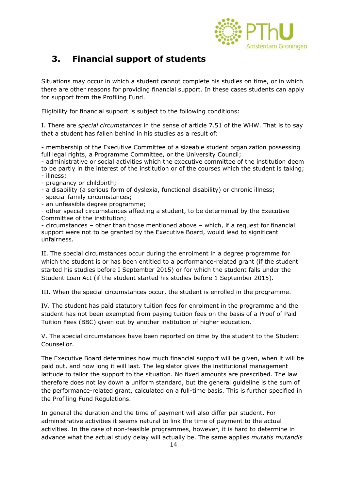

# **3. Financial support of students**

Situations may occur in which a student cannot complete his studies on time, or in which there are other reasons for providing financial support. In these cases students can apply for support from the Profiling Fund.

Eligibility for financial support is subject to the following conditions:

I. There are *special circumstances* in the sense of article 7.51 of the WHW. That is to say that a student has fallen behind in his studies as a result of:

- membership of the Executive Committee of a sizeable student organization possessing full legal rights, a Programme Committee, or the University Council;

- administrative or social activities which the executive committee of the institution deem to be partly in the interest of the institution or of the courses which the student is taking; - illness;

- pregnancy or childbirth;
- a disability (a serious form of dyslexia, functional disability) or chronic illness;
- special family circumstances;
- an unfeasible degree programme;

- other special circumstances affecting a student, to be determined by the Executive Committee of the institution;

- circumstances – other than those mentioned above – which, if a request for financial support were not to be granted by the Executive Board, would lead to significant unfairness.

II. The special circumstances occur during the enrolment in a degree programme for which the student is or has been entitled to a performance-related grant (if the student started his studies before I September 2015) or for which the student falls under the Student Loan Act (if the student started his studies before 1 September 2015).

III. When the special circumstances occur, the student is enrolled in the programme.

IV. The student has paid statutory tuition fees for enrolment in the programme and the student has not been exempted from paying tuition fees on the basis of a Proof of Paid Tuition Fees (BBC) given out by another institution of higher education.

V. The special circumstances have been reported on time by the student to the Student Counsellor.

The Executive Board determines how much financial support will be given, when it will be paid out, and how long it will last. The legislator gives the institutional management latitude to tailor the support to the situation. No fixed amounts are prescribed. The law therefore does not lay down a uniform standard, but the general guideline is the sum of the performance-related grant, calculated on a full-time basis. This is further specified in the Profiling Fund Regulations.

In general the duration and the time of payment will also differ per student. For administrative activities it seems natural to link the time of payment to the actual activities. In the case of non-feasible programmes, however, it is hard to determine in advance what the actual study delay will actually be. The same applies *mutatis mutandis*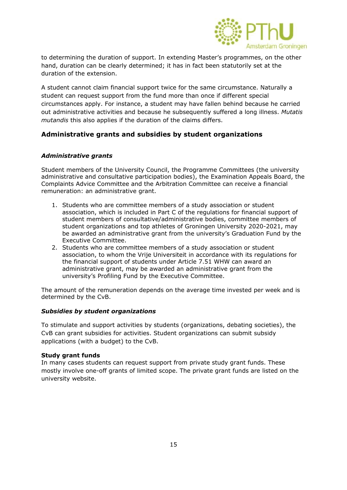

to determining the duration of support. In extending Master's programmes, on the other hand, duration can be clearly determined; it has in fact been statutorily set at the duration of the extension.

A student cannot claim financial support twice for the same circumstance. Naturally a student can request support from the fund more than once if different special circumstances apply. For instance, a student may have fallen behind because he carried out administrative activities and because he subsequently suffered a long illness. *Mutatis mutandis* this also applies if the duration of the claims differs.

# **Administrative grants and subsidies by student organizations**

#### *Administrative grants*

Student members of the University Council, the Programme Committees (the university administrative and consultative participation bodies), the Examination Appeals Board, the Complaints Advice Committee and the Arbitration Committee can receive a financial remuneration: an administrative grant.

- 1. Students who are committee members of a study association or student association, which is included in Part C of the regulations for financial support of student members of consultative/administrative bodies, committee members of student organizations and top athletes of Groningen University 2020-2021, may be awarded an administrative grant from the university's Graduation Fund by the Executive Committee.
- 2. Students who are committee members of a study association or student association, to whom the Vrije Universiteit in accordance with its regulations for the financial support of students under Article 7.51 WHW can award an administrative grant, may be awarded an administrative grant from the university's Profiling Fund by the Executive Committee.

The amount of the remuneration depends on the average time invested per week and is determined by the CvB.

#### *Subsidies by student organizations*

To stimulate and support activities by students (organizations, debating societies), the CvB can grant subsidies for activities. Student organizations can submit subsidy applications (with a budget) to the CvB.

#### **Study grant funds**

In many cases students can request support from private study grant funds. These mostly involve one-off grants of limited scope. The private grant funds are listed on the university website.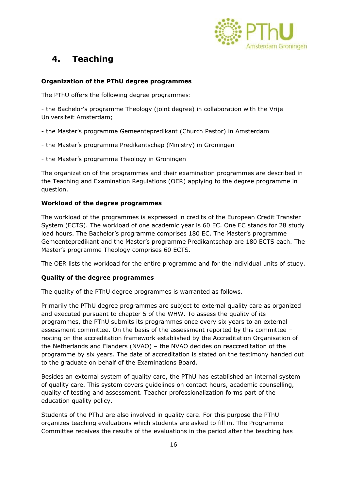

# **4. Teaching**

# **Organization of the PThU degree programmes**

The PThU offers the following degree programmes:

- the Bachelor's programme Theology (joint degree) in collaboration with the Vrije Universiteit Amsterdam;

- the Master's programme Gemeentepredikant (Church Pastor) in Amsterdam
- the Master's programme Predikantschap (Ministry) in Groningen
- the Master's programme Theology in Groningen

The organization of the programmes and their examination programmes are described in the Teaching and Examination Regulations (OER) applying to the degree programme in question.

#### **Workload of the degree programmes**

The workload of the programmes is expressed in credits of the European Credit Transfer System (ECTS). The workload of one academic year is 60 EC. One EC stands for 28 study load hours. The Bachelor's programme comprises 180 EC. The Master's programme Gemeentepredikant and the Master's programme Predikantschap are 180 ECTS each. The Master's programme Theology comprises 60 ECTS.

The OER lists the workload for the entire programme and for the individual units of study.

# **Quality of the degree programmes**

The quality of the PThU degree programmes is warranted as follows.

Primarily the PThU degree programmes are subject to external quality care as organized and executed pursuant to chapter 5 of the WHW. To assess the quality of its programmes, the PThU submits its programmes once every six years to an external assessment committee. On the basis of the assessment reported by this committee – resting on the accreditation framework established by the Accreditation Organisation of the Netherlands and Flanders (NVAO) – the NVAO decides on reaccreditation of the programme by six years. The date of accreditation is stated on the testimony handed out to the graduate on behalf of the Examinations Board.

Besides an external system of quality care, the PThU has established an internal system of quality care. This system covers guidelines on contact hours, academic counselling, quality of testing and assessment. Teacher professionalization forms part of the education quality policy.

Students of the PThU are also involved in quality care. For this purpose the PThU organizes teaching evaluations which students are asked to fill in. The Programme Committee receives the results of the evaluations in the period after the teaching has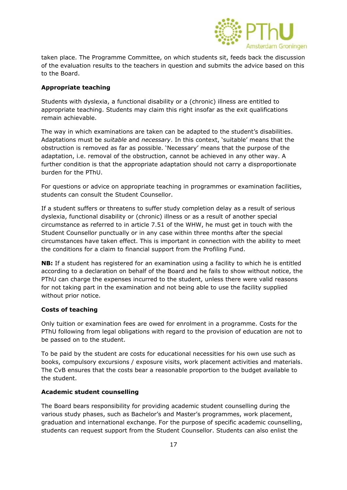

taken place. The Programme Committee, on which students sit, feeds back the discussion of the evaluation results to the teachers in question and submits the advice based on this to the Board.

# **Appropriate teaching**

Students with dyslexia, a functional disability or a (chronic) illness are entitled to appropriate teaching. Students may claim this right insofar as the exit qualifications remain achievable.

The way in which examinations are taken can be adapted to the student's disabilities. Adaptations must be *suitable* and *necessary*. In this context, 'suitable' means that the obstruction is removed as far as possible. 'Necessary' means that the purpose of the adaptation, i.e. removal of the obstruction, cannot be achieved in any other way. A further condition is that the appropriate adaptation should not carry a disproportionate burden for the PThU.

For questions or advice on appropriate teaching in programmes or examination facilities, students can consult the Student Counsellor.

If a student suffers or threatens to suffer study completion delay as a result of serious dyslexia, functional disability or (chronic) illness or as a result of another special circumstance as referred to in article 7.51 of the WHW, he must get in touch with the Student Counsellor punctually or in any case within three months after the special circumstances have taken effect. This is important in connection with the ability to meet the conditions for a claim to financial support from the Profiling Fund.

**NB:** If a student has registered for an examination using a facility to which he is entitled according to a declaration on behalf of the Board and he fails to show without notice, the PThU can charge the expenses incurred to the student, unless there were valid reasons for not taking part in the examination and not being able to use the facility supplied without prior notice.

# **Costs of teaching**

Only tuition or examination fees are owed for enrolment in a programme. Costs for the PThU following from legal obligations with regard to the provision of education are not to be passed on to the student.

To be paid by the student are costs for educational necessities for his own use such as books, compulsory excursions / exposure visits, work placement activities and materials. The CvB ensures that the costs bear a reasonable proportion to the budget available to the student.

# **Academic student counselling**

The Board bears responsibility for providing academic student counselling during the various study phases, such as Bachelor's and Master's programmes, work placement, graduation and international exchange. For the purpose of specific academic counselling, students can request support from the Student Counsellor. Students can also enlist the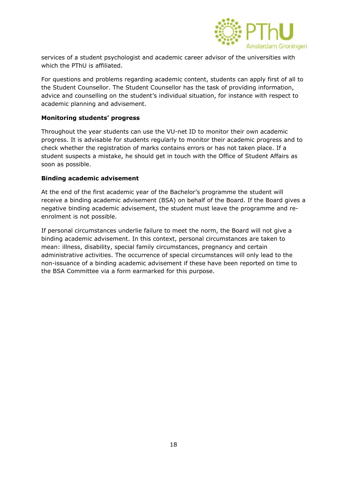

services of a student psychologist and academic career advisor of the universities with which the PThU is affiliated.

For questions and problems regarding academic content, students can apply first of all to the Student Counsellor. The Student Counsellor has the task of providing information, advice and counselling on the student's individual situation, for instance with respect to academic planning and advisement.

### **Monitoring students' progress**

Throughout the year students can use the VU-net ID to monitor their own academic progress. It is advisable for students regularly to monitor their academic progress and to check whether the registration of marks contains errors or has not taken place. If a student suspects a mistake, he should get in touch with the Office of Student Affairs as soon as possible.

#### **Binding academic advisement**

At the end of the first academic year of the Bachelor's programme the student will receive a binding academic advisement (BSA) on behalf of the Board. If the Board gives a negative binding academic advisement, the student must leave the programme and reenrolment is not possible.

If personal circumstances underlie failure to meet the norm, the Board will not give a binding academic advisement. In this context, personal circumstances are taken to mean: illness, disability, special family circumstances, pregnancy and certain administrative activities. The occurrence of special circumstances will only lead to the non-issuance of a binding academic advisement if these have been reported on time to the BSA Committee via a form earmarked for this purpose.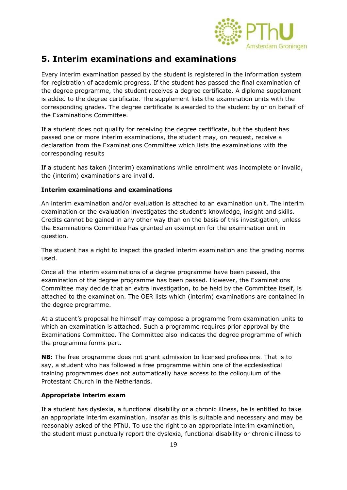

# **5. Interim examinations and examinations**

Every interim examination passed by the student is registered in the information system for registration of academic progress. If the student has passed the final examination of the degree programme, the student receives a degree certificate. A diploma supplement is added to the degree certificate. The supplement lists the examination units with the corresponding grades. The degree certificate is awarded to the student by or on behalf of the Examinations Committee.

If a student does not qualify for receiving the degree certificate, but the student has passed one or more interim examinations, the student may, on request, receive a declaration from the Examinations Committee which lists the examinations with the corresponding results

If a student has taken (interim) examinations while enrolment was incomplete or invalid, the (interim) examinations are invalid.

# **Interim examinations and examinations**

An interim examination and/or evaluation is attached to an examination unit. The interim examination or the evaluation investigates the student's knowledge, insight and skills. Credits cannot be gained in any other way than on the basis of this investigation, unless the Examinations Committee has granted an exemption for the examination unit in question.

The student has a right to inspect the graded interim examination and the grading norms used.

Once all the interim examinations of a degree programme have been passed, the examination of the degree programme has been passed. However, the Examinations Committee may decide that an extra investigation, to be held by the Committee itself, is attached to the examination. The OER lists which (interim) examinations are contained in the degree programme.

At a student's proposal he himself may compose a programme from examination units to which an examination is attached. Such a programme requires prior approval by the Examinations Committee. The Committee also indicates the degree programme of which the programme forms part.

**NB:** The free programme does not grant admission to licensed professions. That is to say, a student who has followed a free programme within one of the ecclesiastical training programmes does not automatically have access to the colloquium of the Protestant Church in the Netherlands.

# **Appropriate interim exam**

If a student has dyslexia, a functional disability or a chronic illness, he is entitled to take an appropriate interim examination, insofar as this is suitable and necessary and may be reasonably asked of the PThU. To use the right to an appropriate interim examination, the student must punctually report the dyslexia, functional disability or chronic illness to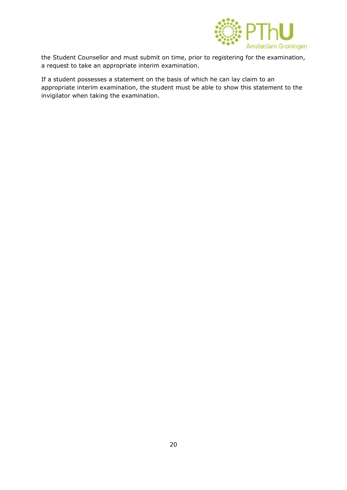

the Student Counsellor and must submit on time, prior to registering for the examination, a request to take an appropriate interim examination.

If a student possesses a statement on the basis of which he can lay claim to an appropriate interim examination, the student must be able to show this statement to the invigilator when taking the examination.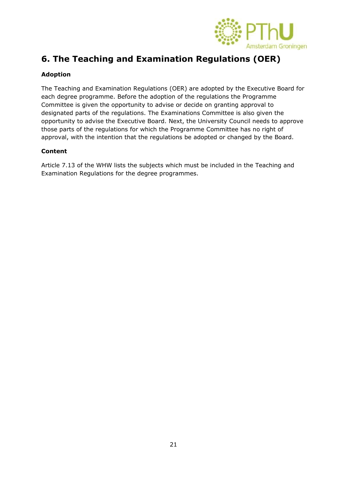

# **6. The Teaching and Examination Regulations (OER)**

# **Adoption**

The Teaching and Examination Regulations (OER) are adopted by the Executive Board for each degree programme. Before the adoption of the regulations the Programme Committee is given the opportunity to advise or decide on granting approval to designated parts of the regulations. The Examinations Committee is also given the opportunity to advise the Executive Board. Next, the University Council needs to approve those parts of the regulations for which the Programme Committee has no right of approval, with the intention that the regulations be adopted or changed by the Board.

# **Content**

Article 7.13 of the WHW lists the subjects which must be included in the Teaching and Examination Regulations for the degree programmes.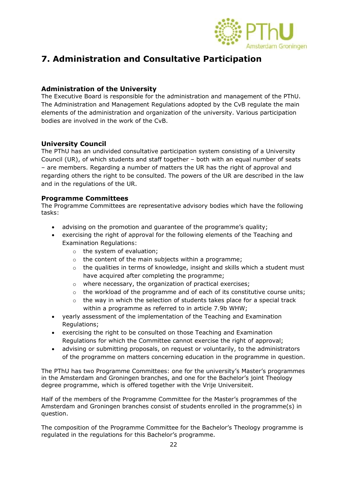

# **7. Administration and Consultative Participation**

# **Administration of the University**

The Executive Board is responsible for the administration and management of the PThU. The Administration and Management Regulations adopted by the CvB regulate the main elements of the administration and organization of the university. Various participation bodies are involved in the work of the CvB.

# **University Council**

The PThU has an undivided consultative participation system consisting of a University Council (UR), of which students and staff together – both with an equal number of seats – are members. Regarding a number of matters the UR has the right of approval and regarding others the right to be consulted. The powers of the UR are described in the law and in the regulations of the UR.

# **Programme Committees**

The Programme Committees are representative advisory bodies which have the following tasks:

- advising on the promotion and guarantee of the programme's quality;
- exercising the right of approval for the following elements of the Teaching and Examination Regulations:
	- o the system of evaluation;
	- o the content of the main subjects within a programme;
	- $\circ$  the qualities in terms of knowledge, insight and skills which a student must have acquired after completing the programme;
	- o where necessary, the organization of practical exercises;
	- $\circ$  the workload of the programme and of each of its constitutive course units;
	- $\circ$  the way in which the selection of students takes place for a special track within a programme as referred to in article 7.9b WHW;
- yearly assessment of the implementation of the Teaching and Examination Regulations;
- exercising the right to be consulted on those Teaching and Examination Regulations for which the Committee cannot exercise the right of approval;
- advising or submitting proposals, on request or voluntarily, to the administrators of the programme on matters concerning education in the programme in question.

The PThU has two Programme Committees: one for the university's Master's programmes in the Amsterdam and Groningen branches, and one for the Bachelor's joint Theology degree programme, which is offered together with the Vrije Universiteit.

Half of the members of the Programme Committee for the Master's programmes of the Amsterdam and Groningen branches consist of students enrolled in the programme(s) in question.

The composition of the Programme Committee for the Bachelor's Theology programme is regulated in the regulations for this Bachelor's programme.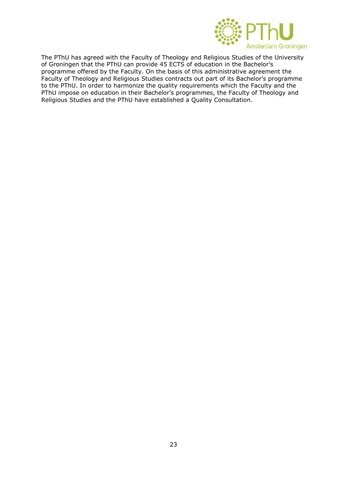

The PThU has agreed with the Faculty of Theology and Religious Studies of the University of Groningen that the PThU can provide 45 ECTS of education in the Bachelor's programme offered by the Faculty. On the basis of this administrative agreement the Faculty of Theology and Religious Studies contracts out part of its Bachelor's programme to the PThU. In order to harmonize the quality requirements which the Faculty and the PThU impose on education in their Bachelor's programmes, the Faculty of Theology and Religious Studies and the PThU have established a Quality Consultation.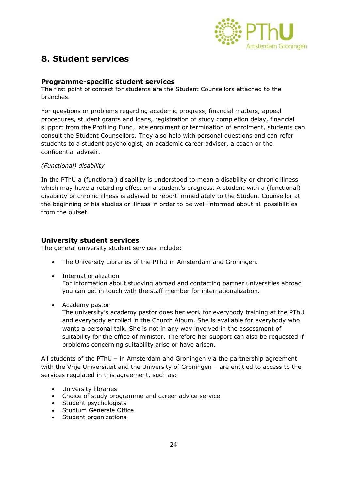

# **8. Student services**

# **Programme-specific student services**

The first point of contact for students are the Student Counsellors attached to the branches.

For questions or problems regarding academic progress, financial matters, appeal procedures, student grants and loans, registration of study completion delay, financial support from the Profiling Fund, late enrolment or termination of enrolment, students can consult the Student Counsellors. They also help with personal questions and can refer students to a student psychologist, an academic career adviser, a coach or the confidential adviser.

# *(Functional) disability*

In the PThU a (functional) disability is understood to mean a disability or chronic illness which may have a retarding effect on a student's progress. A student with a (functional) disability or chronic illness is advised to report immediately to the Student Counsellor at the beginning of his studies or illness in order to be well-informed about all possibilities from the outset.

# **University student services**

The general university student services include:

- The University Libraries of the PThU in Amsterdam and Groningen.
- Internationalization For information about studying abroad and contacting partner universities abroad you can get in touch with the staff member for internationalization.
- Academy pastor

The university's academy pastor does her work for everybody training at the PThU and everybody enrolled in the Church Album. She is available for everybody who wants a personal talk. She is not in any way involved in the assessment of suitability for the office of minister. Therefore her support can also be requested if problems concerning suitability arise or have arisen.

All students of the PThU – in Amsterdam and Groningen via the partnership agreement with the Vrije Universiteit and the University of Groningen – are entitled to access to the services regulated in this agreement, such as:

- University libraries
- Choice of study programme and career advice service
- Student psychologists
- Studium Generale Office
- Student organizations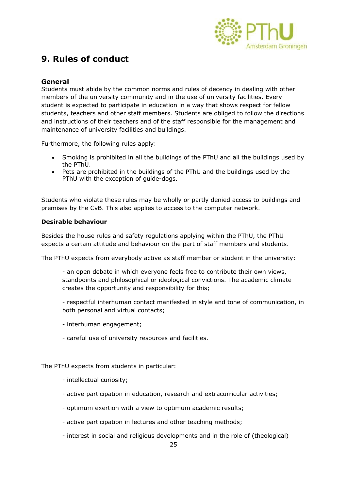

# **9. Rules of conduct**

# **General**

Students must abide by the common norms and rules of decency in dealing with other members of the university community and in the use of university facilities. Every student is expected to participate in education in a way that shows respect for fellow students, teachers and other staff members. Students are obliged to follow the directions and instructions of their teachers and of the staff responsible for the management and maintenance of university facilities and buildings.

Furthermore, the following rules apply:

- Smoking is prohibited in all the buildings of the PThU and all the buildings used by the PThU.
- Pets are prohibited in the buildings of the PThU and the buildings used by the PThU with the exception of guide-dogs.

Students who violate these rules may be wholly or partly denied access to buildings and premises by the CvB. This also applies to access to the computer network.

#### **Desirable behaviour**

Besides the house rules and safety regulations applying within the PThU, the PThU expects a certain attitude and behaviour on the part of staff members and students.

The PThU expects from everybody active as staff member or student in the university:

- an open debate in which everyone feels free to contribute their own views, standpoints and philosophical or ideological convictions. The academic climate creates the opportunity and responsibility for this;

- respectful interhuman contact manifested in style and tone of communication, in both personal and virtual contacts;

- interhuman engagement;
- careful use of university resources and facilities.

The PThU expects from students in particular:

- intellectual curiosity;
- active participation in education, research and extracurricular activities;
- optimum exertion with a view to optimum academic results;
- active participation in lectures and other teaching methods;
- interest in social and religious developments and in the role of (theological)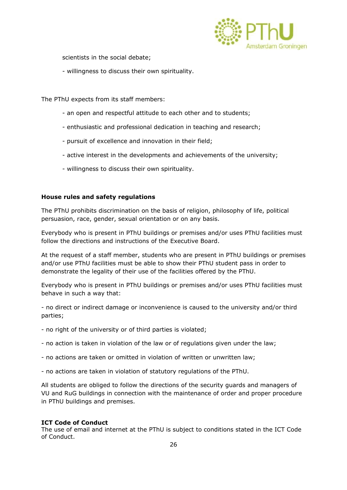

scientists in the social debate;

- willingness to discuss their own spirituality.

The PThU expects from its staff members:

- an open and respectful attitude to each other and to students;
- enthusiastic and professional dedication in teaching and research;
- pursuit of excellence and innovation in their field;
- active interest in the developments and achievements of the university;
- willingness to discuss their own spirituality.

#### **House rules and safety regulations**

The PThU prohibits discrimination on the basis of religion, philosophy of life, political persuasion, race, gender, sexual orientation or on any basis.

Everybody who is present in PThU buildings or premises and/or uses PThU facilities must follow the directions and instructions of the Executive Board.

At the request of a staff member, students who are present in PThU buildings or premises and/or use PThU facilities must be able to show their PThU student pass in order to demonstrate the legality of their use of the facilities offered by the PThU.

Everybody who is present in PThU buildings or premises and/or uses PThU facilities must behave in such a way that:

- no direct or indirect damage or inconvenience is caused to the university and/or third parties;

- no right of the university or of third parties is violated;
- no action is taken in violation of the law or of regulations given under the law;
- no actions are taken or omitted in violation of written or unwritten law;
- no actions are taken in violation of statutory regulations of the PThU.

All students are obliged to follow the directions of the security guards and managers of VU and RuG buildings in connection with the maintenance of order and proper procedure in PThU buildings and premises.

# **ICT Code of Conduct**

The use of email and internet at the PThU is subject to conditions stated in the ICT Code of Conduct.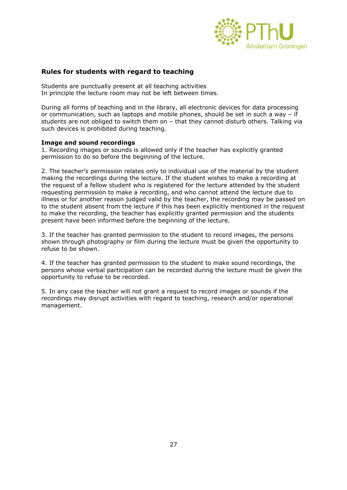

# **Rules for students with regard to teaching**

Students are punctually present at all teaching activities In principle the lecture room may not be left between times.

During all forms of teaching and in the library, all electronic devices for data processing or communication, such as laptops and mobile phones, should be set in such a way – if students are not obliged to switch them on – that they cannot disturb others. Talking via such devices is prohibited during teaching.

#### **Image and sound recordings**

1. Recording images or sounds is allowed only if the teacher has explicitly granted permission to do so before the beginning of the lecture.

2. The teacher's permission relates only to individual use of the material by the student making the recordings during the lecture. If the student wishes to make a recording at the request of a fellow student who is registered for the lecture attended by the student requesting permission to make a recording, and who cannot attend the lecture due to illness or for another reason judged valid by the teacher, the recording may be passed on to the student absent from the lecture if this has been explicitly mentioned in the request to make the recording, the teacher has explicitly granted permission and the students present have been informed before the beginning of the lecture.

3. If the teacher has granted permission to the student to record images, the persons shown through photography or film during the lecture must be given the opportunity to refuse to be shown.

4. If the teacher has granted permission to the student to make sound recordings, the persons whose verbal participation can be recorded during the lecture must be given the opportunity to refuse to be recorded.

5. In any case the teacher will not grant a request to record images or sounds if the recordings may disrupt activities with regard to teaching, research and/or operational management.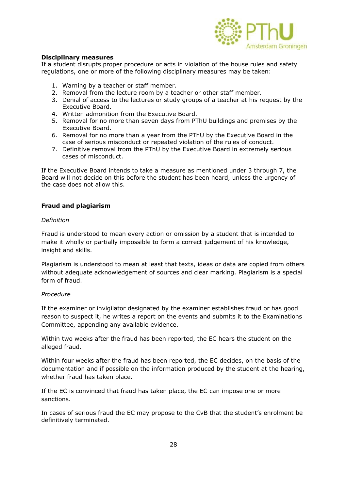

#### **Disciplinary measures**

If a student disrupts proper procedure or acts in violation of the house rules and safety regulations, one or more of the following disciplinary measures may be taken:

- 1. Warning by a teacher or staff member.
- 2. Removal from the lecture room by a teacher or other staff member.
- 3. Denial of access to the lectures or study groups of a teacher at his request by the Executive Board.
- 4. Written admonition from the Executive Board.
- 5. Removal for no more than seven days from PThU buildings and premises by the Executive Board.
- 6. Removal for no more than a year from the PThU by the Executive Board in the case of serious misconduct or repeated violation of the rules of conduct.
- 7. Definitive removal from the PThU by the Executive Board in extremely serious cases of misconduct.

If the Executive Board intends to take a measure as mentioned under 3 through 7, the Board will not decide on this before the student has been heard, unless the urgency of the case does not allow this.

#### **Fraud and plagiarism**

#### *Definition*

Fraud is understood to mean every action or omission by a student that is intended to make it wholly or partially impossible to form a correct judgement of his knowledge, insight and skills.

Plagiarism is understood to mean at least that texts, ideas or data are copied from others without adequate acknowledgement of sources and clear marking. Plagiarism is a special form of fraud.

#### *Procedure*

If the examiner or invigilator designated by the examiner establishes fraud or has good reason to suspect it, he writes a report on the events and submits it to the Examinations Committee, appending any available evidence.

Within two weeks after the fraud has been reported, the EC hears the student on the alleged fraud.

Within four weeks after the fraud has been reported, the EC decides, on the basis of the documentation and if possible on the information produced by the student at the hearing, whether fraud has taken place.

If the EC is convinced that fraud has taken place, the EC can impose one or more sanctions.

In cases of serious fraud the EC may propose to the CvB that the student's enrolment be definitively terminated.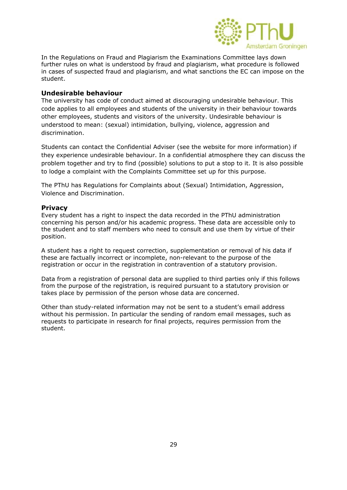

In the Regulations on Fraud and Plagiarism the Examinations Committee lays down further rules on what is understood by fraud and plagiarism, what procedure is followed in cases of suspected fraud and plagiarism, and what sanctions the EC can impose on the student.

### **Undesirable behaviour**

The university has code of conduct aimed at discouraging undesirable behaviour. This code applies to all employees and students of the university in their behaviour towards other employees, students and visitors of the university. Undesirable behaviour is understood to mean: (sexual) intimidation, bullying, violence, aggression and discrimination.

Students can contact the Confidential Adviser (see the website for more information) if they experience undesirable behaviour. In a confidential atmosphere they can discuss the problem together and try to find (possible) solutions to put a stop to it. It is also possible to lodge a complaint with the Complaints Committee set up for this purpose.

The PThU has Regulations for Complaints about (Sexual) Intimidation, Aggression, Violence and Discrimination.

#### **Privacy**

Every student has a right to inspect the data recorded in the PThU administration concerning his person and/or his academic progress. These data are accessible only to the student and to staff members who need to consult and use them by virtue of their position.

A student has a right to request correction, supplementation or removal of his data if these are factually incorrect or incomplete, non-relevant to the purpose of the registration or occur in the registration in contravention of a statutory provision.

Data from a registration of personal data are supplied to third parties only if this follows from the purpose of the registration, is required pursuant to a statutory provision or takes place by permission of the person whose data are concerned.

Other than study-related information may not be sent to a student's email address without his permission. In particular the sending of random email messages, such as requests to participate in research for final projects, requires permission from the student.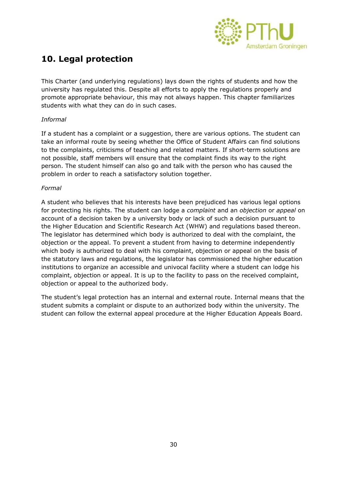

# **10. Legal protection**

This Charter (and underlying regulations) lays down the rights of students and how the university has regulated this. Despite all efforts to apply the regulations properly and promote appropriate behaviour, this may not always happen. This chapter familiarizes students with what they can do in such cases.

# *Informal*

If a student has a complaint or a suggestion, there are various options. The student can take an informal route by seeing whether the Office of Student Affairs can find solutions to the complaints, criticisms of teaching and related matters. If short-term solutions are not possible, staff members will ensure that the complaint finds its way to the right person. The student himself can also go and talk with the person who has caused the problem in order to reach a satisfactory solution together.

#### *Formal*

A student who believes that his interests have been prejudiced has various legal options for protecting his rights. The student can lodge a *complaint* and an *objection* or *appeal* on account of a decision taken by a university body or lack of such a decision pursuant to the Higher Education and Scientific Research Act (WHW) and regulations based thereon. The legislator has determined which body is authorized to deal with the complaint, the objection or the appeal. To prevent a student from having to determine independently which body is authorized to deal with his complaint, objection or appeal on the basis of the statutory laws and regulations, the legislator has commissioned the higher education institutions to organize an accessible and univocal facility where a student can lodge his complaint, objection or appeal. It is up to the facility to pass on the received complaint, objection or appeal to the authorized body.

The student's legal protection has an internal and external route. Internal means that the student submits a complaint or dispute to an authorized body within the university. The student can follow the external appeal procedure at the Higher Education Appeals Board.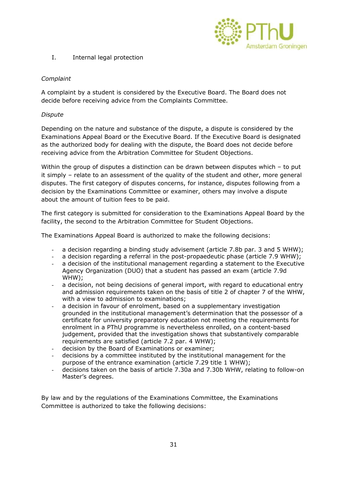

# I. Internal legal protection

# *Complaint*

A complaint by a student is considered by the Executive Board. The Board does not decide before receiving advice from the Complaints Committee.

# *Dispute*

Depending on the nature and substance of the dispute, a dispute is considered by the Examinations Appeal Board or the Executive Board. If the Executive Board is designated as the authorized body for dealing with the dispute, the Board does not decide before receiving advice from the Arbitration Committee for Student Objections.

Within the group of disputes a distinction can be drawn between disputes which - to put it simply – relate to an assessment of the quality of the student and other, more general disputes. The first category of disputes concerns, for instance, disputes following from a decision by the Examinations Committee or examiner, others may involve a dispute about the amount of tuition fees to be paid.

The first category is submitted for consideration to the Examinations Appeal Board by the facility, the second to the Arbitration Committee for Student Objections.

The Examinations Appeal Board is authorized to make the following decisions:

- a decision regarding a binding study advisement (article 7.8b par. 3 and 5 WHW);
- a decision regarding a referral in the post-propaedeutic phase (article 7.9 WHW);
- a decision of the institutional management regarding a statement to the Executive Agency Organization (DUO) that a student has passed an exam (article 7.9d WHW);
- a decision, not being decisions of general import, with regard to educational entry and admission requirements taken on the basis of title 2 of chapter 7 of the WHW, with a view to admission to examinations;
- a decision in favour of enrolment, based on a supplementary investigation grounded in the institutional management's determination that the possessor of a certificate for university preparatory education not meeting the requirements for enrolment in a PThU programme is nevertheless enrolled, on a content-based judgement, provided that the investigation shows that substantively comparable requirements are satisfied (article 7.2 par. 4 WHW);
- decision by the Board of Examinations or examiner;
- decisions by a committee instituted by the institutional management for the purpose of the entrance examination (article 7.29 title 1 WHW);
- decisions taken on the basis of article 7.30a and 7.30b WHW, relating to follow-on Master's degrees.

By law and by the regulations of the Examinations Committee, the Examinations Committee is authorized to take the following decisions: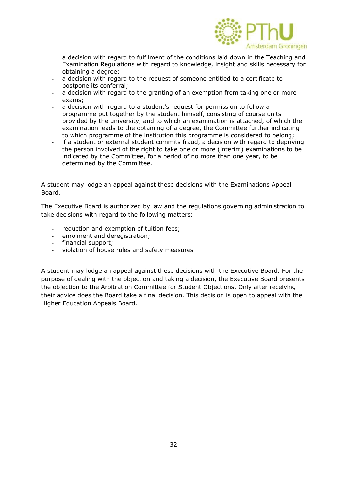

- a decision with regard to fulfilment of the conditions laid down in the Teaching and Examination Regulations with regard to knowledge, insight and skills necessary for obtaining a degree;
- a decision with regard to the request of someone entitled to a certificate to postpone its conferral;
- a decision with regard to the granting of an exemption from taking one or more exams;
- a decision with regard to a student's request for permission to follow a programme put together by the student himself, consisting of course units provided by the university, and to which an examination is attached, of which the examination leads to the obtaining of a degree, the Committee further indicating to which programme of the institution this programme is considered to belong;
- if a student or external student commits fraud, a decision with regard to depriving the person involved of the right to take one or more (interim) examinations to be indicated by the Committee, for a period of no more than one year, to be determined by the Committee.

A student may lodge an appeal against these decisions with the Examinations Appeal Board.

The Executive Board is authorized by law and the regulations governing administration to take decisions with regard to the following matters:

- reduction and exemption of tuition fees;
- enrolment and deregistration;
- financial support;
- violation of house rules and safety measures

A student may lodge an appeal against these decisions with the Executive Board. For the purpose of dealing with the objection and taking a decision, the Executive Board presents the objection to the Arbitration Committee for Student Objections. Only after receiving their advice does the Board take a final decision. This decision is open to appeal with the Higher Education Appeals Board.